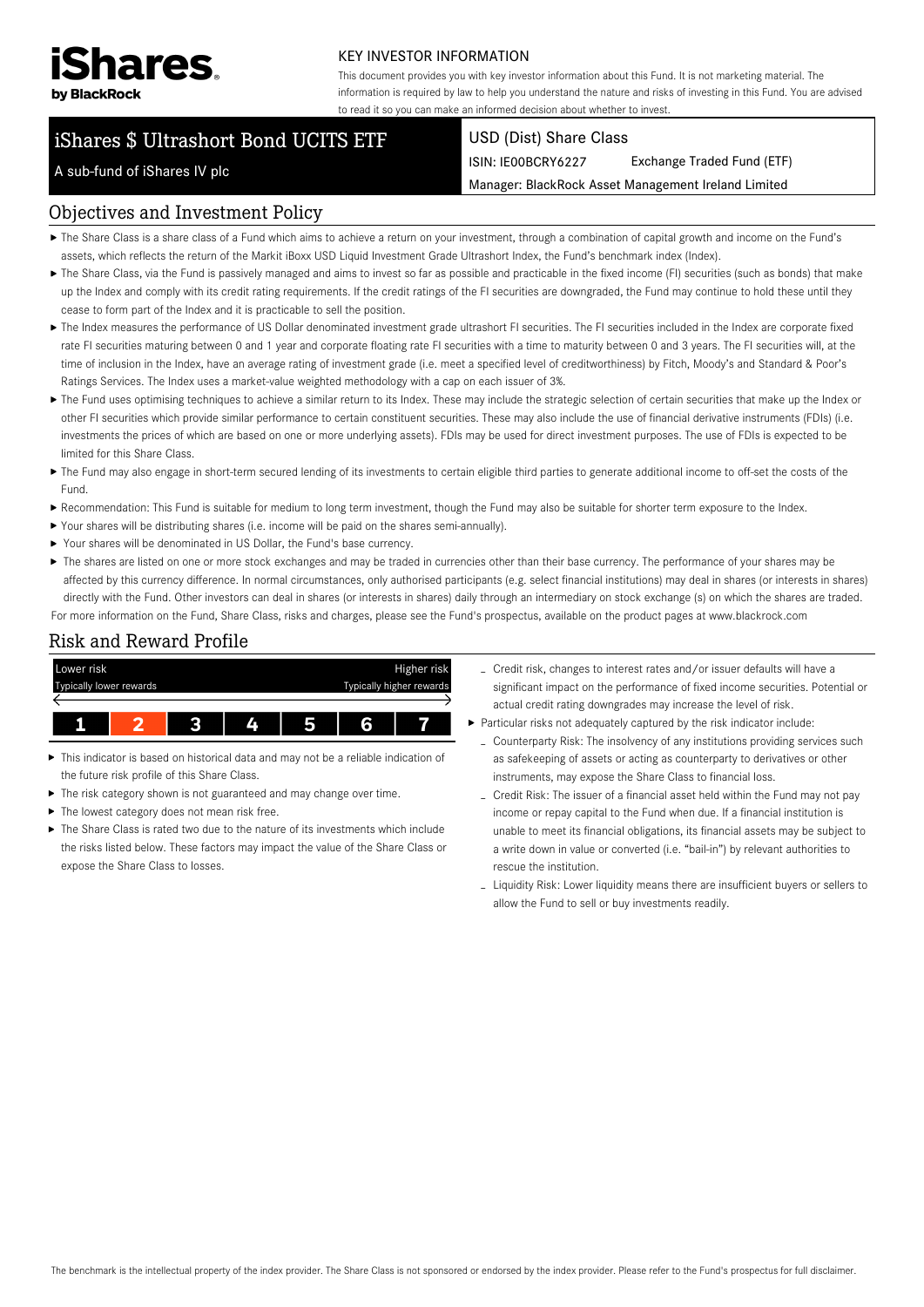

#### KEY INVESTOR INFORMATION

This document provides you with key investor information about this Fund. It is not marketing material. The information is required by law to help you understand the nature and risks of investing in this Fund. You are advised to read it so you can make an informed decision about whether to invest.

# iShares \$ Ultrashort Bond UCITS ETF

#### USD (Dist) Share Class

ISIN: IE00BCRY6227 Exchange Traded Fund (ETF)

Manager: BlackRock Asset Management Ireland Limited

#### A sub-fund of iShares IV plc

#### Objectives and Investment Policy

- The Share Class is a share class of a Fund which aims to achieve a return on your investment, through a combination of capital growth and income on the Fund's assets, which reflects the return of the Markit iBoxx USD Liquid Investment Grade Ultrashort Index, the Fund's benchmark index (Index).
- ▶ The Share Class, via the Fund is passively managed and aims to invest so far as possible and practicable in the fixed income (FI) securities (such as bonds) that make up the Index and comply with its credit rating requirements. If the credit ratings of the FI securities are downgraded, the Fund may continue to hold these until they cease to form part of the Index and it is practicable to sell the position.
- ▶ The Index measures the performance of US Dollar denominated investment grade ultrashort FI securities. The FI securities included in the Index are corporate fixed rate FI securities maturing between 0 and 1 year and corporate floating rate FI securities with a time to maturity between 0 and 3 years. The FI securities will, at the time of inclusion in the Index, have an average rating of investment grade (i.e. meet a specified level of creditworthiness) by Fitch, Moody's and Standard & Poor's Ratings Services. The Index uses a market-value weighted methodology with a cap on each issuer of 3%.
- ▶ The Fund uses optimising techniques to achieve a similar return to its Index. These may include the strategic selection of certain securities that make up the Index or other FI securities which provide similar performance to certain constituent securities. These may also include the use of financial derivative instruments (FDIs) (i.e. investments the prices of which are based on one or more underlying assets). FDIs may be used for direct investment purposes. The use of FDIs is expected to be limited for this Share Class.
- ▶ The Fund may also engage in short-term secured lending of its investments to certain eligible third parties to generate additional income to off-set the costs of the Fund.
- Recommendation: This Fund is suitable for medium to long term investment, though the Fund may also be suitable for shorter term exposure to the Index.
- Your shares will be distributing shares (i.e. income will be paid on the shares semi-annually).
- Your shares will be denominated in US Dollar, the Fund's base currency.
- ▶ The shares are listed on one or more stock exchanges and may be traded in currencies other than their base currency. The performance of your shares may be affected by this currency difference. In normal circumstances, only authorised participants (e.g. select financial institutions) may deal in shares (or interests in shares) directly with the Fund. Other investors can deal in shares (or interests in shares) daily through an intermediary on stock exchange (s) on which the shares are traded. For more information on the Fund, Share Class, risks and charges, please see the Fund's prospectus, available on the product pages at www.blackrock.com

## Risk and Reward Profile



- This indicator is based on historical data and may not be a reliable indication of Ы the future risk profile of this Share Class.
- The risk category shown is not guaranteed and may change over time.
- The lowest category does not mean risk free. ь
- $\triangleright$  The Share Class is rated two due to the nature of its investments which include the risks listed below. These factors may impact the value of the Share Class or expose the Share Class to losses.
- Credit risk, changes to interest rates and/or issuer defaults will have a significant impact on the performance of fixed income securities. Potential or actual credit rating downgrades may increase the level of risk.
- Particular risks not adequately captured by the risk indicator include:
	- Counterparty Risk: The insolvency of any institutions providing services such as safekeeping of assets or acting as counterparty to derivatives or other instruments, may expose the Share Class to financial loss.
	- Credit Risk: The issuer of a financial asset held within the Fund may not pay income or repay capital to the Fund when due. If a financial institution is unable to meet its financial obligations, its financial assets may be subject to a write down in value or converted (i.e. "bail-in") by relevant authorities to rescue the institution.
	- Liquidity Risk: Lower liquidity means there are insufficient buyers or sellers to allow the Fund to sell or buy investments readily.